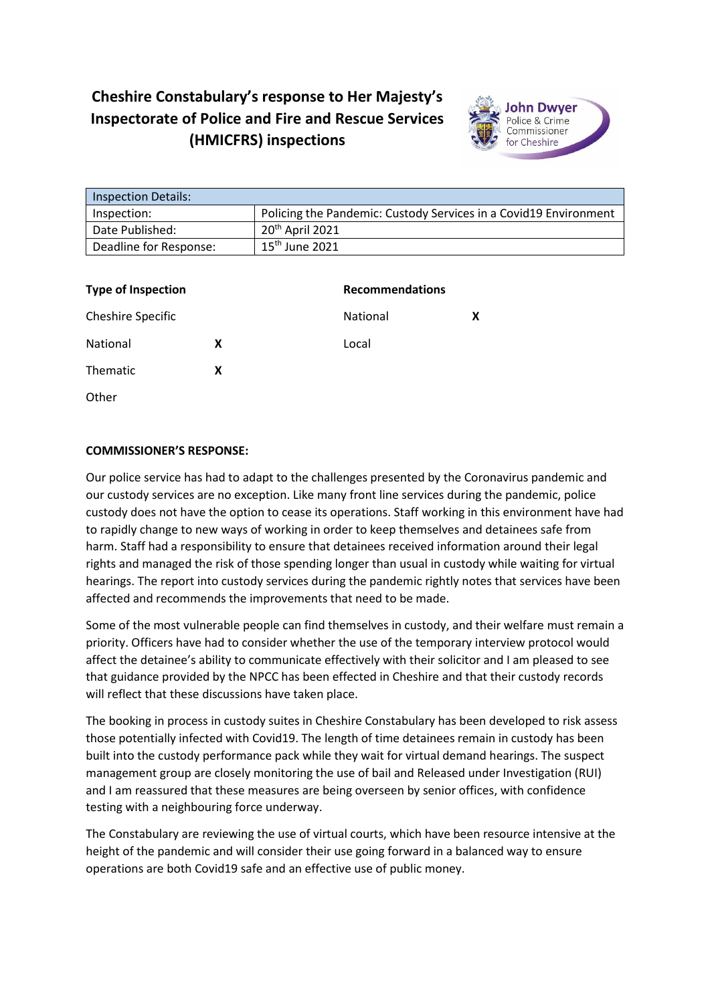## **Cheshire Constabulary's response to Her Majesty's Inspectorate of Police and Fire and Rescue Services (HMICFRS) inspections**



| <b>Inspection Details:</b> |                                                                  |
|----------------------------|------------------------------------------------------------------|
| Inspection:                | Policing the Pandemic: Custody Services in a Covid19 Environment |
| Date Published:            | 20 <sup>th</sup> April 2021                                      |
| Deadline for Response:     | $15th$ June 2021                                                 |

| <b>Type of Inspection</b> |   | <b>Recommendations</b> |   |
|---------------------------|---|------------------------|---|
| Cheshire Specific         |   | <b>National</b>        | X |
| National                  | X | Local                  |   |
| Thematic                  | X |                        |   |
| Other                     |   |                        |   |

## **COMMISSIONER'S RESPONSE:**

Our police service has had to adapt to the challenges presented by the Coronavirus pandemic and our custody services are no exception. Like many front line services during the pandemic, police custody does not have the option to cease its operations. Staff working in this environment have had to rapidly change to new ways of working in order to keep themselves and detainees safe from harm. Staff had a responsibility to ensure that detainees received information around their legal rights and managed the risk of those spending longer than usual in custody while waiting for virtual hearings. The report into custody services during the pandemic rightly notes that services have been affected and recommends the improvements that need to be made.

Some of the most vulnerable people can find themselves in custody, and their welfare must remain a priority. Officers have had to consider whether the use of the temporary interview protocol would affect the detainee's ability to communicate effectively with their solicitor and I am pleased to see that guidance provided by the NPCC has been effected in Cheshire and that their custody records will reflect that these discussions have taken place.

The booking in process in custody suites in Cheshire Constabulary has been developed to risk assess those potentially infected with Covid19. The length of time detainees remain in custody has been built into the custody performance pack while they wait for virtual demand hearings. The suspect management group are closely monitoring the use of bail and Released under Investigation (RUI) and I am reassured that these measures are being overseen by senior offices, with confidence testing with a neighbouring force underway.

The Constabulary are reviewing the use of virtual courts, which have been resource intensive at the height of the pandemic and will consider their use going forward in a balanced way to ensure operations are both Covid19 safe and an effective use of public money.